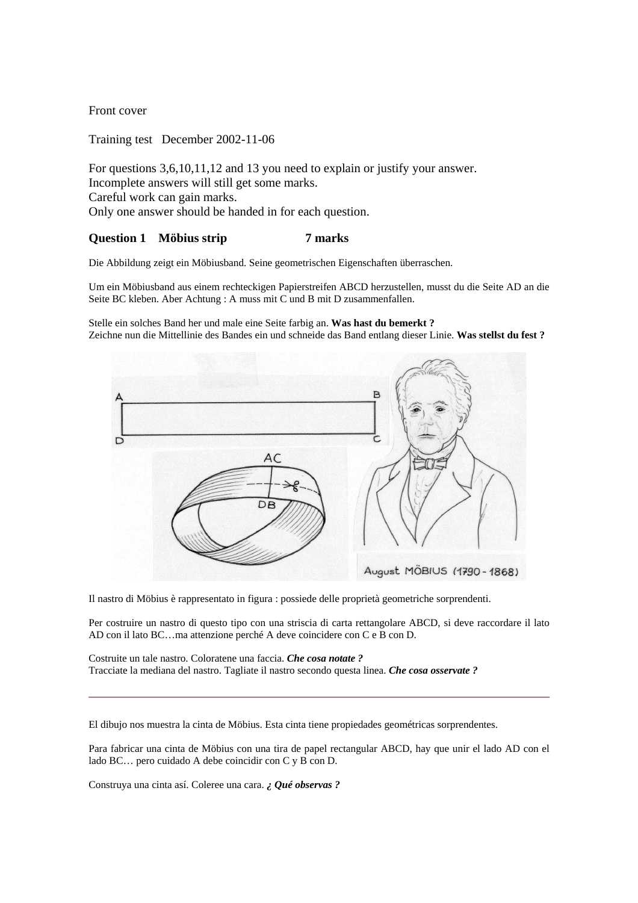Front cover

Training test December 2002-11-06

For questions 3,6,10,11,12 and 13 you need to explain or justify your answer. Incomplete answers will still get some marks. Careful work can gain marks. Only one answer should be handed in for each question.

#### **Question 1 Möbius strip 7 marks**

Die Abbildung zeigt ein Möbiusband. Seine geometrischen Eigenschaften überraschen.

Um ein Möbiusband aus einem rechteckigen Papierstreifen ABCD herzustellen, musst du die Seite AD an die Seite BC kleben. Aber Achtung : A muss mit C und B mit D zusammenfallen.

Stelle ein solches Band her und male eine Seite farbig an. **Was hast du bemerkt ?** Zeichne nun die Mittellinie des Bandes ein und schneide das Band entlang dieser Linie. **Was stellst du fest ?** 



Il nastro di Möbius è rappresentato in figura : possiede delle proprietà geometriche sorprendenti.

Per costruire un nastro di questo tipo con una striscia di carta rettangolare ABCD, si deve raccordare il lato AD con il lato BC…ma attenzione perché A deve coincidere con C e B con D.

Costruite un tale nastro. Coloratene una faccia. *Che cosa notate ?* Tracciate la mediana del nastro. Tagliate il nastro secondo questa linea. *Che cosa osservate ?*

El dibujo nos muestra la cinta de Möbius. Esta cinta tiene propiedades geométricas sorprendentes.

Para fabricar una cinta de Möbius con una tira de papel rectangular ABCD, hay que unir el lado AD con el lado BC… pero cuidado A debe coincidir con C y B con D.

Construya una cinta así. Coleree una cara. *¿ Qué observas ?*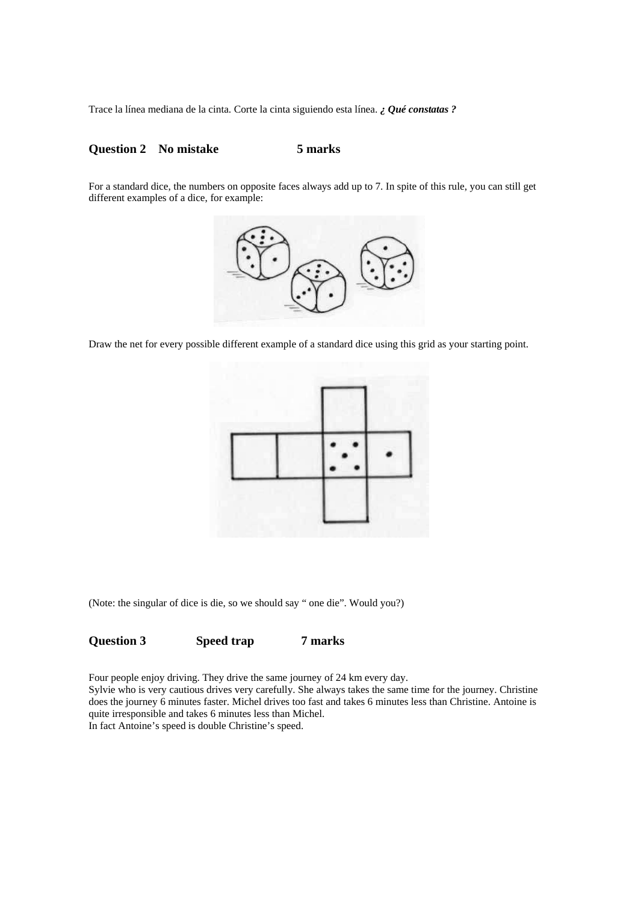Trace la línea mediana de la cinta. Corte la cinta siguiendo esta línea. *¿ Qué constatas ?*

#### **Question 2 No mistake 5 marks**

For a standard dice, the numbers on opposite faces always add up to 7. In spite of this rule, you can still get different examples of a dice, for example:



Draw the net for every possible different example of a standard dice using this grid as your starting point.



(Note: the singular of dice is die, so we should say " one die". Would you?)

#### **Question 3 Speed trap 7 marks**

Four people enjoy driving. They drive the same journey of 24 km every day. Sylvie who is very cautious drives very carefully. She always takes the same time for the journey. Christine does the journey 6 minutes faster. Michel drives too fast and takes 6 minutes less than Christine. Antoine is quite irresponsible and takes 6 minutes less than Michel. In fact Antoine's speed is double Christine's speed.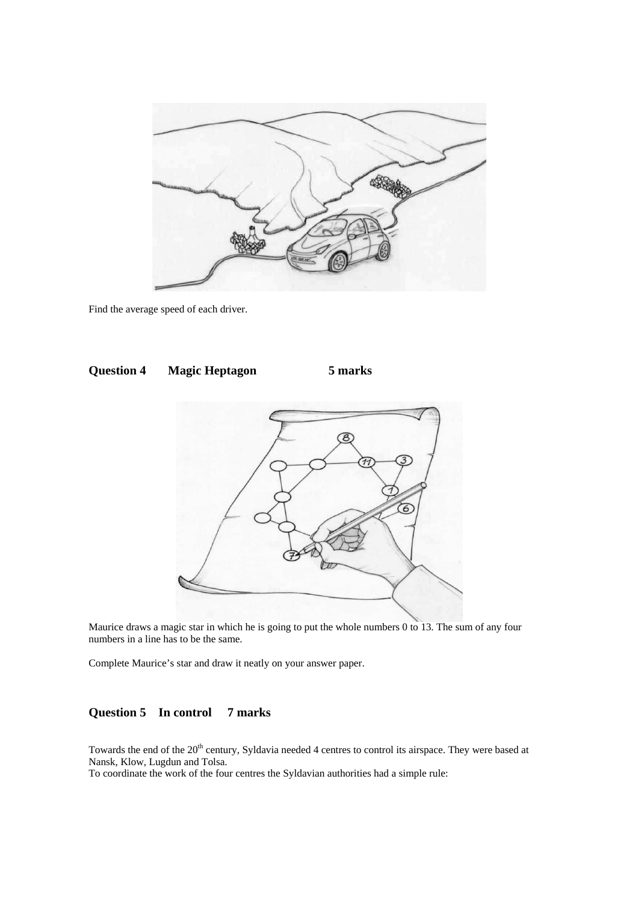

Find the average speed of each driver.



Maurice draws a magic star in which he is going to put the whole numbers 0 to 13. The sum of any four numbers in a line has to be the same.

Complete Maurice's star and draw it neatly on your answer paper.

# **Question 5 In control 7 marks**

Towards the end of the 20<sup>th</sup> century, Syldavia needed 4 centres to control its airspace. They were based at Nansk, Klow, Lugdun and Tolsa.

To coordinate the work of the four centres the Syldavian authorities had a simple rule: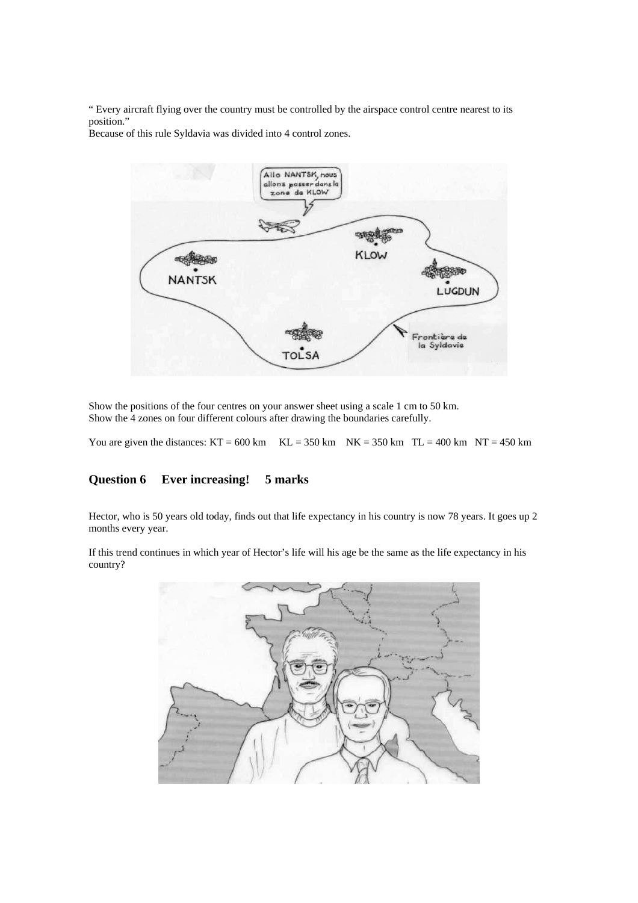" Every aircraft flying over the country must be controlled by the airspace control centre nearest to its position."

Because of this rule Syldavia was divided into 4 control zones.



Show the positions of the four centres on your answer sheet using a scale 1 cm to 50 km. Show the 4 zones on four different colours after drawing the boundaries carefully.

You are given the distances:  $KT = 600 \text{ km}$   $KL = 350 \text{ km}$   $NK = 350 \text{ km}$   $TL = 400 \text{ km}$   $NT = 450 \text{ km}$ 

## **Question 6 Ever increasing! 5 marks**

Hector, who is 50 years old today, finds out that life expectancy in his country is now 78 years. It goes up 2 months every year.

If this trend continues in which year of Hector's life will his age be the same as the life expectancy in his country?

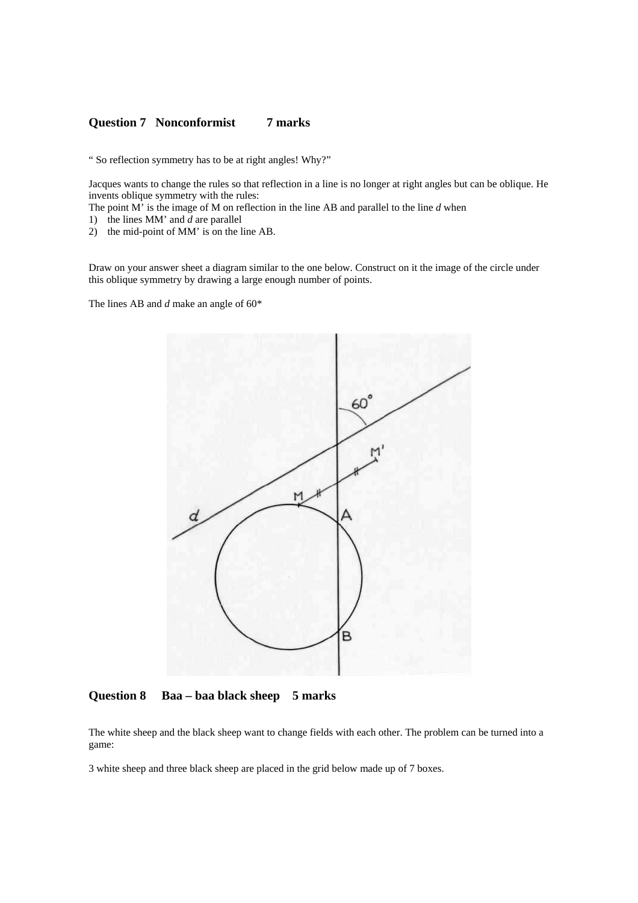#### **Question 7 Nonconformist 7 marks**

" So reflection symmetry has to be at right angles! Why?"

Jacques wants to change the rules so that reflection in a line is no longer at right angles but can be oblique. He invents oblique symmetry with the rules:

The point M' is the image of M on reflection in the line AB and parallel to the line *d* when

- 1) the lines MM' and *d* are parallel
- 2) the mid-point of MM' is on the line AB.

Draw on your answer sheet a diagram similar to the one below. Construct on it the image of the circle under this oblique symmetry by drawing a large enough number of points.

The lines AB and *d* make an angle of 60\*



**Question 8 Baa – baa black sheep 5 marks** 

The white sheep and the black sheep want to change fields with each other. The problem can be turned into a game:

3 white sheep and three black sheep are placed in the grid below made up of 7 boxes.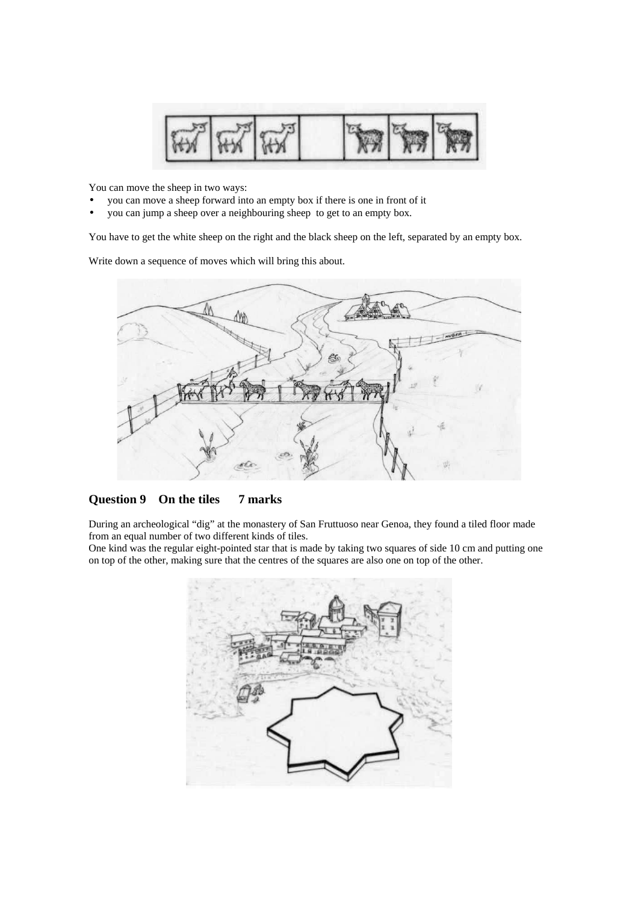

You can move the sheep in two ways:

- you can move a sheep forward into an empty box if there is one in front of it
- you can jump a sheep over a neighbouring sheep to get to an empty box.

You have to get the white sheep on the right and the black sheep on the left, separated by an empty box.

Write down a sequence of moves which will bring this about.



**Question 9 On the tiles 7 marks** 

During an archeological "dig" at the monastery of San Fruttuoso near Genoa, they found a tiled floor made from an equal number of two different kinds of tiles.

One kind was the regular eight-pointed star that is made by taking two squares of side 10 cm and putting one on top of the other, making sure that the centres of the squares are also one on top of the other.

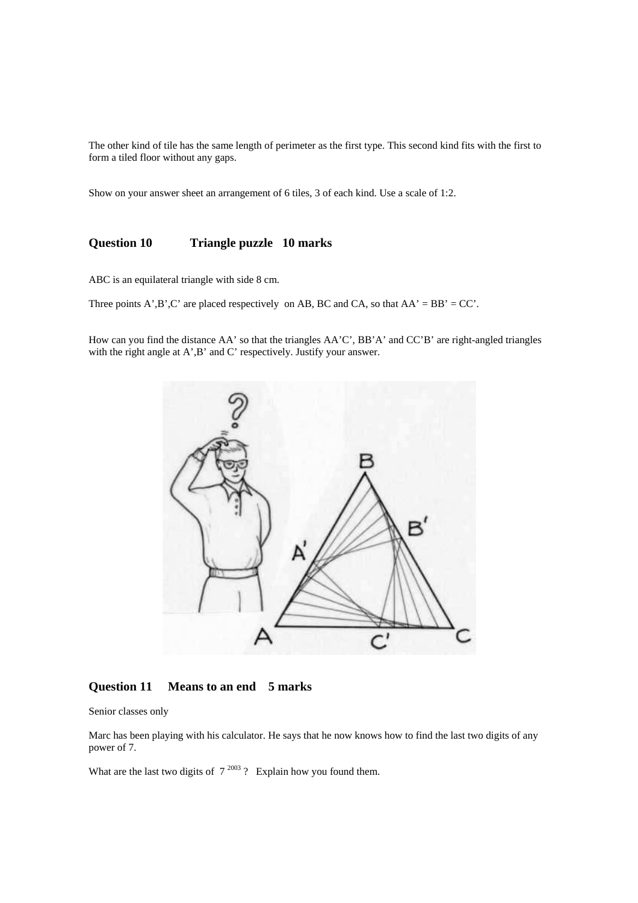The other kind of tile has the same length of perimeter as the first type. This second kind fits with the first to form a tiled floor without any gaps.

Show on your answer sheet an arrangement of 6 tiles, 3 of each kind. Use a scale of 1:2.

### **Question 10 Triangle puzzle 10 marks**

ABC is an equilateral triangle with side 8 cm.

Three points A',B',C' are placed respectively on AB, BC and CA, so that  $AA' = BB' = CC'$ .

How can you find the distance AA' so that the triangles AA'C', BB'A' and CC'B' are right-angled triangles with the right angle at A', B' and C' respectively. Justify your answer.



#### **Question 11 Means to an end 5 marks**

Senior classes only

Marc has been playing with his calculator. He says that he now knows how to find the last two digits of any power of 7.

What are the last two digits of  $7^{2003}$  ? Explain how you found them.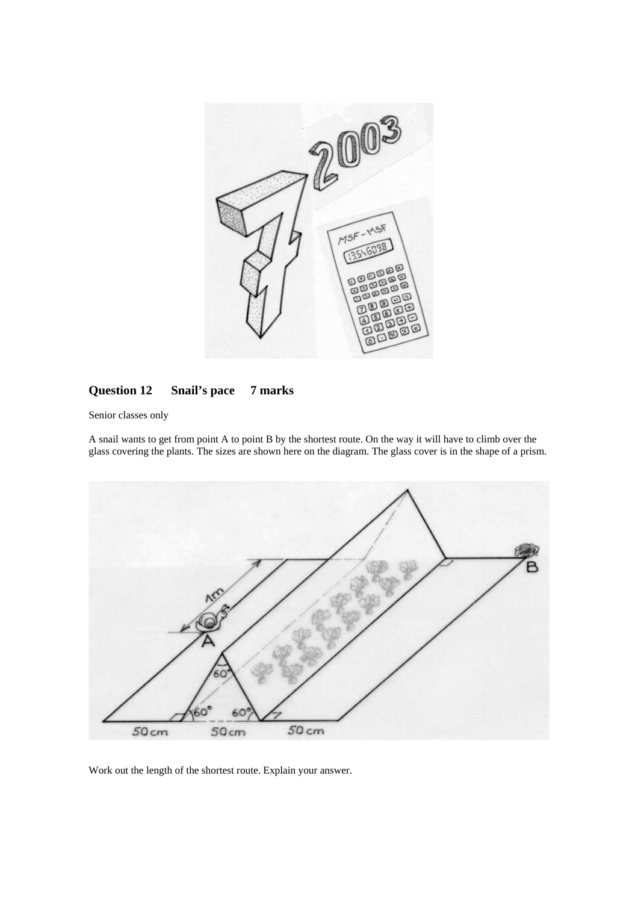

# **Question 12 Snail's pace 7 marks**

Senior classes only

A snail wants to get from point A to point B by the shortest route. On the way it will have to climb over the glass covering the plants. The sizes are shown here on the diagram. The glass cover is in the shape of a prism.



Work out the length of the shortest route. Explain your answer.